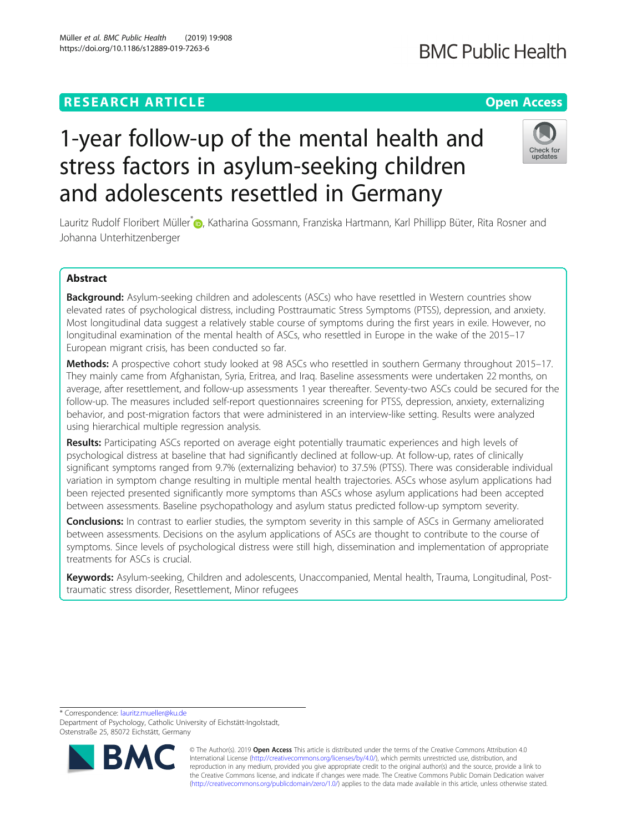## **RESEARCH ARTICLE Example 2014 12:30 The Contract of Contract ACCESS**

# 1-year follow-up of the mental health and stress factors in asylum-seeking children and adolescents resettled in Germany

Lauritz Rudolf Floribert Müller<sup>\*</sup> [,](http://orcid.org/0000-0003-3214-7827) Katharina Gossmann, Franziska Hartmann, Karl Phillipp Büter, Rita Rosner and Johanna Unterhitzenberger

### Abstract

Background: Asylum-seeking children and adolescents (ASCs) who have resettled in Western countries show elevated rates of psychological distress, including Posttraumatic Stress Symptoms (PTSS), depression, and anxiety. Most longitudinal data suggest a relatively stable course of symptoms during the first years in exile. However, no longitudinal examination of the mental health of ASCs, who resettled in Europe in the wake of the 2015–17 European migrant crisis, has been conducted so far.

Methods: A prospective cohort study looked at 98 ASCs who resettled in southern Germany throughout 2015–17. They mainly came from Afghanistan, Syria, Eritrea, and Iraq. Baseline assessments were undertaken 22 months, on average, after resettlement, and follow-up assessments 1 year thereafter. Seventy-two ASCs could be secured for the follow-up. The measures included self-report questionnaires screening for PTSS, depression, anxiety, externalizing behavior, and post-migration factors that were administered in an interview-like setting. Results were analyzed using hierarchical multiple regression analysis.

Results: Participating ASCs reported on average eight potentially traumatic experiences and high levels of psychological distress at baseline that had significantly declined at follow-up. At follow-up, rates of clinically significant symptoms ranged from 9.7% (externalizing behavior) to 37.5% (PTSS). There was considerable individual variation in symptom change resulting in multiple mental health trajectories. ASCs whose asylum applications had been rejected presented significantly more symptoms than ASCs whose asylum applications had been accepted between assessments. Baseline psychopathology and asylum status predicted follow-up symptom severity.

**Conclusions:** In contrast to earlier studies, the symptom severity in this sample of ASCs in Germany ameliorated between assessments. Decisions on the asylum applications of ASCs are thought to contribute to the course of symptoms. Since levels of psychological distress were still high, dissemination and implementation of appropriate treatments for ASCs is crucial.

Keywords: Asylum-seeking, Children and adolescents, Unaccompanied, Mental health, Trauma, Longitudinal, Posttraumatic stress disorder, Resettlement, Minor refugees

\* Correspondence: [lauritz.mueller@ku.de](mailto:lauritz.mueller@ku.de)

**BM** 

Department of Psychology, Catholic University of Eichstätt-Ingolstadt, Ostenstraße 25, 85072 Eichstätt, Germany



Müller et al. BMC Public Health (2019) 19:908 https://doi.org/10.1186/s12889-019-7263-6



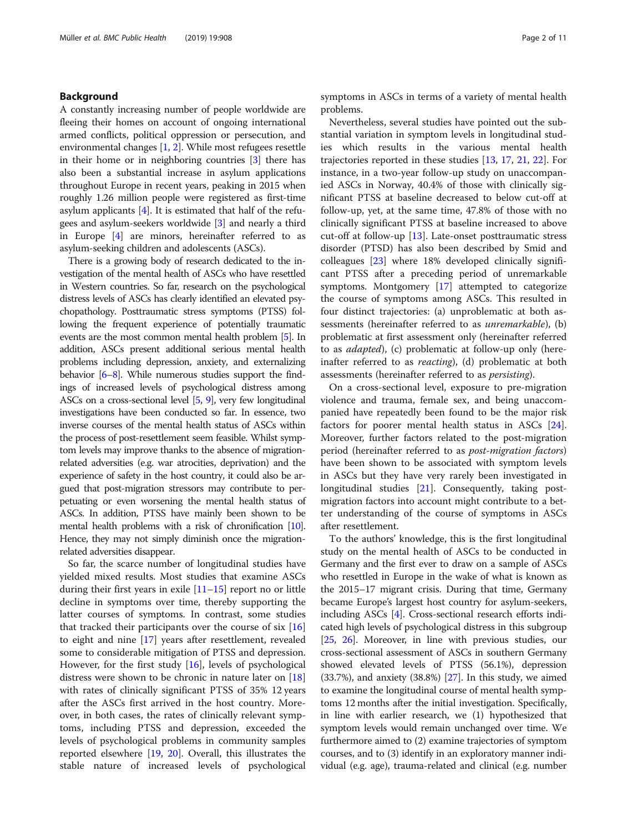#### Background

A constantly increasing number of people worldwide are fleeing their homes on account of ongoing international armed conflicts, political oppression or persecution, and environmental changes [[1,](#page-10-0) [2](#page-10-0)]. While most refugees resettle in their home or in neighboring countries [\[3](#page-10-0)] there has also been a substantial increase in asylum applications throughout Europe in recent years, peaking in 2015 when roughly 1.26 million people were registered as first-time asylum applicants  $[4]$  $[4]$ . It is estimated that half of the refugees and asylum-seekers worldwide [[3](#page-10-0)] and nearly a third in Europe [\[4](#page-10-0)] are minors, hereinafter referred to as asylum-seeking children and adolescents (ASCs).

There is a growing body of research dedicated to the investigation of the mental health of ASCs who have resettled in Western countries. So far, research on the psychological distress levels of ASCs has clearly identified an elevated psychopathology. Posttraumatic stress symptoms (PTSS) following the frequent experience of potentially traumatic events are the most common mental health problem [[5](#page-10-0)]. In addition, ASCs present additional serious mental health problems including depression, anxiety, and externalizing behavior [[6](#page-10-0)–[8\]](#page-10-0). While numerous studies support the findings of increased levels of psychological distress among ASCs on a cross-sectional level [[5](#page-10-0), [9](#page-10-0)], very few longitudinal investigations have been conducted so far. In essence, two inverse courses of the mental health status of ASCs within the process of post-resettlement seem feasible. Whilst symptom levels may improve thanks to the absence of migrationrelated adversities (e.g. war atrocities, deprivation) and the experience of safety in the host country, it could also be argued that post-migration stressors may contribute to perpetuating or even worsening the mental health status of ASCs. In addition, PTSS have mainly been shown to be mental health problems with a risk of chronification [\[10](#page-10-0)]. Hence, they may not simply diminish once the migrationrelated adversities disappear.

So far, the scarce number of longitudinal studies have yielded mixed results. Most studies that examine ASCs during their first years in exile  $[11–15]$  $[11–15]$  $[11–15]$  $[11–15]$  report no or little decline in symptoms over time, thereby supporting the latter courses of symptoms. In contrast, some studies that tracked their participants over the course of six  $[16]$  $[16]$  $[16]$ to eight and nine [\[17](#page-10-0)] years after resettlement, revealed some to considerable mitigation of PTSS and depression. However, for the first study [\[16](#page-10-0)], levels of psychological distress were shown to be chronic in nature later on [[18](#page-10-0)] with rates of clinically significant PTSS of 35% 12 years after the ASCs first arrived in the host country. Moreover, in both cases, the rates of clinically relevant symptoms, including PTSS and depression, exceeded the levels of psychological problems in community samples reported elsewhere [\[19,](#page-10-0) [20](#page-10-0)]. Overall, this illustrates the stable nature of increased levels of psychological symptoms in ASCs in terms of a variety of mental health problems.

Nevertheless, several studies have pointed out the substantial variation in symptom levels in longitudinal studies which results in the various mental health trajectories reported in these studies [\[13,](#page-10-0) [17,](#page-10-0) [21](#page-10-0), [22](#page-10-0)]. For instance, in a two-year follow-up study on unaccompanied ASCs in Norway, 40.4% of those with clinically significant PTSS at baseline decreased to below cut-off at follow-up, yet, at the same time, 47.8% of those with no clinically significant PTSS at baseline increased to above cut-off at follow-up [\[13](#page-10-0)]. Late-onset posttraumatic stress disorder (PTSD) has also been described by Smid and colleagues [[23](#page-10-0)] where 18% developed clinically significant PTSS after a preceding period of unremarkable symptoms. Montgomery [\[17\]](#page-10-0) attempted to categorize the course of symptoms among ASCs. This resulted in four distinct trajectories: (a) unproblematic at both assessments (hereinafter referred to as *unremarkable*), (b) problematic at first assessment only (hereinafter referred to as *adapted*), (c) problematic at follow-up only (hereinafter referred to as reacting), (d) problematic at both assessments (hereinafter referred to as persisting).

On a cross-sectional level, exposure to pre-migration violence and trauma, female sex, and being unaccompanied have repeatedly been found to be the major risk factors for poorer mental health status in ASCs [\[24](#page-10-0)]. Moreover, further factors related to the post-migration period (hereinafter referred to as post-migration factors) have been shown to be associated with symptom levels in ASCs but they have very rarely been investigated in longitudinal studies [[21\]](#page-10-0). Consequently, taking postmigration factors into account might contribute to a better understanding of the course of symptoms in ASCs after resettlement.

To the authors' knowledge, this is the first longitudinal study on the mental health of ASCs to be conducted in Germany and the first ever to draw on a sample of ASCs who resettled in Europe in the wake of what is known as the 2015–17 migrant crisis. During that time, Germany became Europe's largest host country for asylum-seekers, including ASCs [[4\]](#page-10-0). Cross-sectional research efforts indicated high levels of psychological distress in this subgroup [[25](#page-10-0), [26\]](#page-10-0). Moreover, in line with previous studies, our cross-sectional assessment of ASCs in southern Germany showed elevated levels of PTSS (56.1%), depression (33.7%), and anxiety (38.8%) [\[27\]](#page-10-0). In this study, we aimed to examine the longitudinal course of mental health symptoms 12 months after the initial investigation. Specifically, in line with earlier research, we (1) hypothesized that symptom levels would remain unchanged over time. We furthermore aimed to (2) examine trajectories of symptom courses, and to (3) identify in an exploratory manner individual (e.g. age), trauma-related and clinical (e.g. number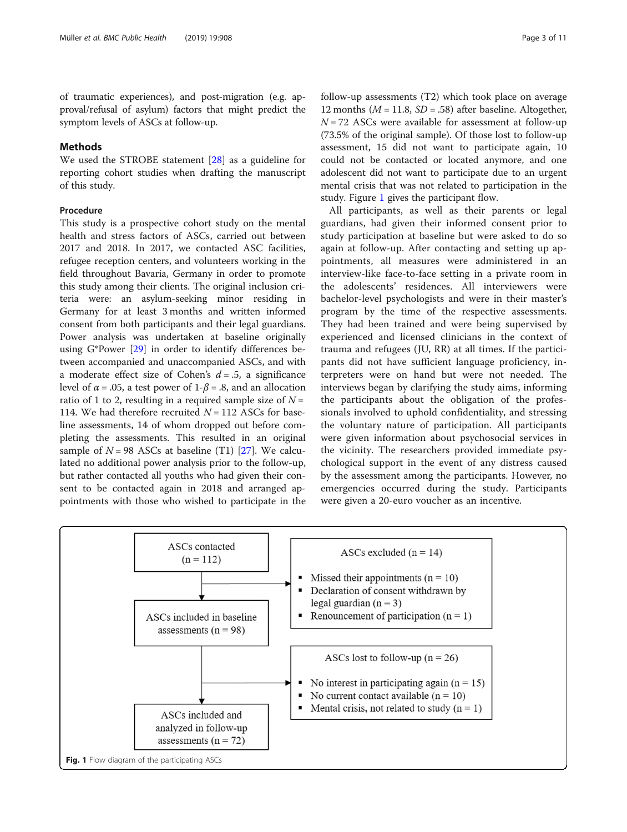of traumatic experiences), and post-migration (e.g. approval/refusal of asylum) factors that might predict the symptom levels of ASCs at follow-up.

#### Methods

We used the STROBE statement [\[28\]](#page-10-0) as a guideline for reporting cohort studies when drafting the manuscript of this study.

#### Procedure

This study is a prospective cohort study on the mental health and stress factors of ASCs, carried out between 2017 and 2018. In 2017, we contacted ASC facilities, refugee reception centers, and volunteers working in the field throughout Bavaria, Germany in order to promote this study among their clients. The original inclusion criteria were: an asylum-seeking minor residing in Germany for at least 3 months and written informed consent from both participants and their legal guardians. Power analysis was undertaken at baseline originally using G\*Power [\[29](#page-10-0)] in order to identify differences between accompanied and unaccompanied ASCs, and with a moderate effect size of Cohen's  $d = .5$ , a significance level of  $\alpha$  = .05, a test power of 1- $\beta$  = .8, and an allocation ratio of 1 to 2, resulting in a required sample size of  $N =$ 114. We had therefore recruited  $N = 112$  ASCs for baseline assessments, 14 of whom dropped out before completing the assessments. This resulted in an original sample of  $N = 98$  ASCs at baseline (T1) [\[27\]](#page-10-0). We calculated no additional power analysis prior to the follow-up, but rather contacted all youths who had given their consent to be contacted again in 2018 and arranged appointments with those who wished to participate in the follow-up assessments (T2) which took place on average 12 months ( $M = 11.8$ ,  $SD = .58$ ) after baseline. Altogether,  $N = 72$  ASCs were available for assessment at follow-up (73.5% of the original sample). Of those lost to follow-up assessment, 15 did not want to participate again, 10 could not be contacted or located anymore, and one adolescent did not want to participate due to an urgent mental crisis that was not related to participation in the study. Figure 1 gives the participant flow.

All participants, as well as their parents or legal guardians, had given their informed consent prior to study participation at baseline but were asked to do so again at follow-up. After contacting and setting up appointments, all measures were administered in an interview-like face-to-face setting in a private room in the adolescents' residences. All interviewers were bachelor-level psychologists and were in their master's program by the time of the respective assessments. They had been trained and were being supervised by experienced and licensed clinicians in the context of trauma and refugees (JU, RR) at all times. If the participants did not have sufficient language proficiency, interpreters were on hand but were not needed. The interviews began by clarifying the study aims, informing the participants about the obligation of the professionals involved to uphold confidentiality, and stressing the voluntary nature of participation. All participants were given information about psychosocial services in the vicinity. The researchers provided immediate psychological support in the event of any distress caused by the assessment among the participants. However, no emergencies occurred during the study. Participants were given a 20-euro voucher as an incentive.

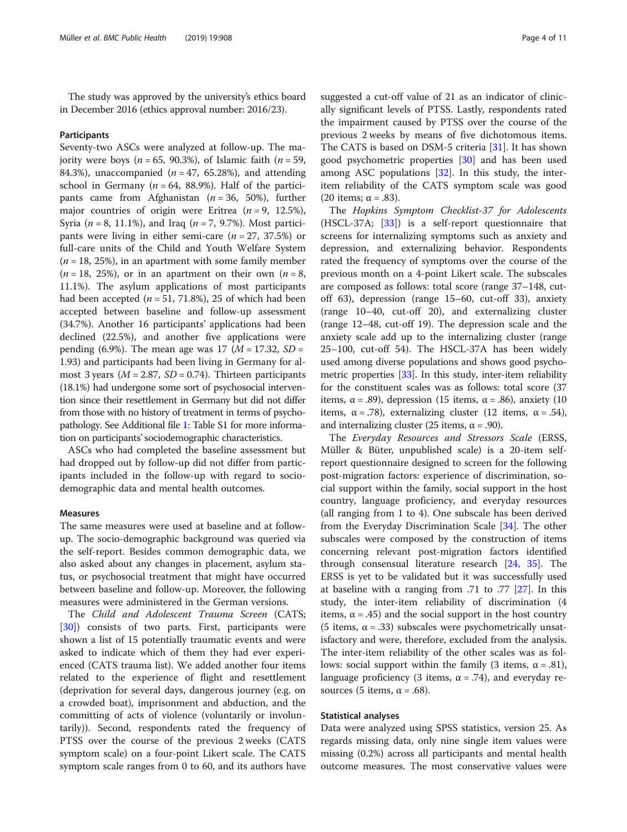The study was approved by the university's ethics board in December 2016 (ethics approval number: 2016/23).

#### **Participants**

Seventy-two ASCs were analyzed at follow-up. The majority were boys ( $n = 65$ , 90.3%), of Islamic faith ( $n = 59$ , 84.3%), unaccompanied ( $n = 47, 65.28%$ ), and attending school in Germany ( $n = 64$ , 88.9%). Half of the participants came from Afghanistan ( $n = 36$ , 50%), further major countries of origin were Eritrea  $(n = 9, 12.5\%)$ , Syria ( $n = 8$ , 11.1%), and Iraq ( $n = 7$ , 9.7%). Most participants were living in either semi-care  $(n = 27, 37.5%)$  or full-care units of the Child and Youth Welfare System  $(n = 18, 25\%)$ , in an apartment with some family member  $(n = 18, 25\%)$ , or in an apartment on their own  $(n = 8, 1)$ 11.1%). The asylum applications of most participants had been accepted ( $n = 51, 71.8\%$ ), 25 of which had been accepted between baseline and follow-up assessment (34.7%). Another 16 participants' applications had been declined (22.5%), and another five applications were pending (6.9%). The mean age was 17 ( $M = 17.32$ ,  $SD =$ 1.93) and participants had been living in Germany for almost 3 years ( $M = 2.87$ ,  $SD = 0.74$ ). Thirteen participants (18.1%) had undergone some sort of psychosocial intervention since their resettlement in Germany but did not differ from those with no history of treatment in terms of psychopathology. See Additional file [1](#page-9-0): Table S1 for more information on participants'sociodemographic characteristics.

ASCs who had completed the baseline assessment but had dropped out by follow-up did not differ from participants included in the follow-up with regard to sociodemographic data and mental health outcomes.

#### Measures

The same measures were used at baseline and at followup. The socio-demographic background was queried via the self-report. Besides common demographic data, we also asked about any changes in placement, asylum status, or psychosocial treatment that might have occurred between baseline and follow-up. Moreover, the following measures were administered in the German versions.

The Child and Adolescent Trauma Screen (CATS; [[30\]](#page-10-0)) consists of two parts. First, participants were shown a list of 15 potentially traumatic events and were asked to indicate which of them they had ever experienced (CATS trauma list). We added another four items related to the experience of flight and resettlement (deprivation for several days, dangerous journey (e.g. on a crowded boat), imprisonment and abduction, and the committing of acts of violence (voluntarily or involuntarily)). Second, respondents rated the frequency of PTSS over the course of the previous 2 weeks (CATS symptom scale) on a four-point Likert scale. The CATS symptom scale ranges from 0 to 60, and its authors have suggested a cut-off value of 21 as an indicator of clinically significant levels of PTSS. Lastly, respondents rated the impairment caused by PTSS over the course of the previous 2 weeks by means of five dichotomous items. The CATS is based on DSM-5 criteria [[31\]](#page-10-0). It has shown good psychometric properties [[30\]](#page-10-0) and has been used among ASC populations [[32](#page-10-0)]. In this study, the interitem reliability of the CATS symptom scale was good (20 items;  $\alpha = .83$ ).

The Hopkins Symptom Checklist-37 for Adolescents (HSCL-37A; [[33\]](#page-10-0)) is a self-report questionnaire that screens for internalizing symptoms such as anxiety and depression, and externalizing behavior. Respondents rated the frequency of symptoms over the course of the previous month on a 4-point Likert scale. The subscales are composed as follows: total score (range 37–148, cutoff 63), depression (range 15–60, cut-off 33), anxiety (range 10–40, cut-off 20), and externalizing cluster (range 12–48, cut-off 19). The depression scale and the anxiety scale add up to the internalizing cluster (range 25–100, cut-off 54). The HSCL-37A has been widely used among diverse populations and shows good psychometric properties [\[33](#page-10-0)]. In this study, inter-item reliability for the constituent scales was as follows: total score (37 items,  $\alpha = .89$ ), depression (15 items,  $\alpha = .86$ ), anxiety (10 items,  $\alpha = .78$ ), externalizing cluster (12 items,  $\alpha = .54$ ), and internalizing cluster (25 items,  $\alpha = .90$ ).

The Everyday Resources and Stressors Scale (ERSS, Müller & Büter, unpublished scale) is a 20-item selfreport questionnaire designed to screen for the following post-migration factors: experience of discrimination, social support within the family, social support in the host country, language proficiency, and everyday resources (all ranging from 1 to 4). One subscale has been derived from the Everyday Discrimination Scale [[34\]](#page-10-0). The other subscales were composed by the construction of items concerning relevant post-migration factors identified through consensual literature research [\[24](#page-10-0), [35\]](#page-10-0). The ERSS is yet to be validated but it was successfully used at baseline with α ranging from .71 to .77 [[27](#page-10-0)]. In this study, the inter-item reliability of discrimination (4 items,  $\alpha = .45$ ) and the social support in the host country (5 items,  $\alpha$  = .33) subscales were psychometrically unsatisfactory and were, therefore, excluded from the analysis. The inter-item reliability of the other scales was as follows: social support within the family (3 items,  $α = .81$ ), language proficiency (3 items,  $\alpha = .74$ ), and everyday resources (5 items,  $\alpha = .68$ ).

#### Statistical analyses

Data were analyzed using SPSS statistics, version 25. As regards missing data, only nine single item values were missing (0.2%) across all participants and mental health outcome measures. The most conservative values were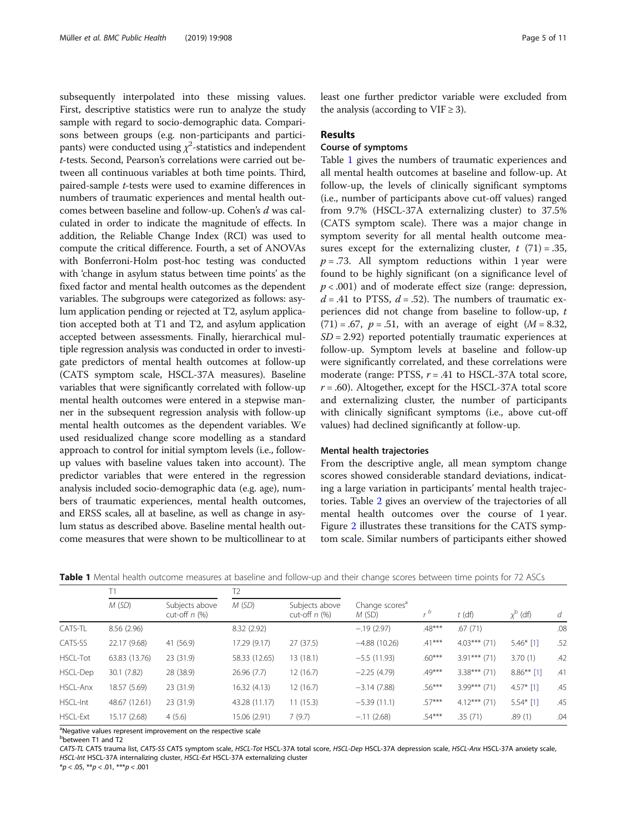subsequently interpolated into these missing values. First, descriptive statistics were run to analyze the study sample with regard to socio-demographic data. Comparisons between groups (e.g. non-participants and participants) were conducted using  $\chi^2$ -statistics and independent t-tests. Second, Pearson's correlations were carried out between all continuous variables at both time points. Third, paired-sample t-tests were used to examine differences in numbers of traumatic experiences and mental health outcomes between baseline and follow-up. Cohen's d was calculated in order to indicate the magnitude of effects. In addition, the Reliable Change Index (RCI) was used to compute the critical difference. Fourth, a set of ANOVAs with Bonferroni-Holm post-hoc testing was conducted with 'change in asylum status between time points' as the fixed factor and mental health outcomes as the dependent variables. The subgroups were categorized as follows: asylum application pending or rejected at T2, asylum application accepted both at T1 and T2, and asylum application accepted between assessments. Finally, hierarchical multiple regression analysis was conducted in order to investigate predictors of mental health outcomes at follow-up (CATS symptom scale, HSCL-37A measures). Baseline variables that were significantly correlated with follow-up mental health outcomes were entered in a stepwise manner in the subsequent regression analysis with follow-up mental health outcomes as the dependent variables. We used residualized change score modelling as a standard approach to control for initial symptom levels (i.e., followup values with baseline values taken into account). The predictor variables that were entered in the regression analysis included socio-demographic data (e.g. age), numbers of traumatic experiences, mental health outcomes, and ERSS scales, all at baseline, as well as change in asylum status as described above. Baseline mental health outcome measures that were shown to be multicollinear to at least one further predictor variable were excluded from the analysis (according to VIF  $\geq$  3).

#### Results

#### Course of symptoms

Table 1 gives the numbers of traumatic experiences and all mental health outcomes at baseline and follow-up. At follow-up, the levels of clinically significant symptoms (i.e., number of participants above cut-off values) ranged from 9.7% (HSCL-37A externalizing cluster) to 37.5% (CATS symptom scale). There was a major change in symptom severity for all mental health outcome measures except for the externalizing cluster,  $t$  (71) = .35,  $p = .73$ . All symptom reductions within 1 year were found to be highly significant (on a significance level of  $p < .001$ ) and of moderate effect size (range: depression,  $d = .41$  to PTSS,  $d = .52$ ). The numbers of traumatic experiences did not change from baseline to follow-up, t  $(71) = .67$ ,  $p = .51$ , with an average of eight  $(M = 8.32)$ ,  $SD = 2.92$ ) reported potentially traumatic experiences at follow-up. Symptom levels at baseline and follow-up were significantly correlated, and these correlations were moderate (range: PTSS,  $r = .41$  to HSCL-37A total score,  $r = .60$ ). Altogether, except for the HSCL-37A total score and externalizing cluster, the number of participants with clinically significant symptoms (i.e., above cut-off values) had declined significantly at follow-up.

#### Mental health trajectories

From the descriptive angle, all mean symptom change scores showed considerable standard deviations, indicating a large variation in participants' mental health trajectories. Table [2](#page-5-0) gives an overview of the trajectories of all mental health outcomes over the course of 1 year. Figure [2](#page-5-0) illustrates these transitions for the CATS symptom scale. Similar numbers of participants either showed

|                 | Τ1            |                                   | T2            |                                   |                                     |          |                |                     |     |
|-----------------|---------------|-----------------------------------|---------------|-----------------------------------|-------------------------------------|----------|----------------|---------------------|-----|
|                 | M(SD)         | Subjects above<br>cut-off $n$ (%) | M(SD)         | Subjects above<br>cut-off $n$ (%) | Change scores <sup>a</sup><br>M(SD) | $r^b$    | $t$ (df)       | $\chi^{\rm b}$ (df) | d   |
| CATS-TL         | 8.56(2.96)    |                                   | 8.32 (2.92)   |                                   | $-.19(2.97)$                        | $.48***$ | .67(71)        |                     | .08 |
| CATS-SS         | 22.17 (9.68)  | 41 (56.9)                         | 17.29 (9.17)  | 27(37.5)                          | $-4.88(10.26)$                      | $.41***$ | $4.03***$ (71) | $5.46*$ [1]         | .52 |
| <b>HSCL-Tot</b> | 63.83 (13.76) | 23 (31.9)                         | 58.33 (12.65) | 13 (18.1)                         | $-5.5(11.93)$                       | $.60***$ | $3.91***$ (71) | 3.70(1)             | .42 |
| HSCL-Dep        | 30.1 (7.82)   | 28 (38.9)                         | 26.96(7.7)    | 12 (16.7)                         | $-2.25(4.79)$                       | $.49***$ | $3.38***$ (71) | $8.86**$ [1]        | .41 |
| <b>HSCL-Anx</b> | 18.57 (5.69)  | 23 (31.9)                         | 16.32 (4.13)  | 12(16.7)                          | $-3.14(7.88)$                       | $.56***$ | $3.99***$ (71) | $4.57*$ [1]         | .45 |
| HSCL-Int        | 48.67 (12.61) | 23 (31.9)                         | 43.28 (11.17) | 11(15.3)                          | $-5.39(11.1)$                       | $.57***$ | $4.12***$ (71) | $5.54*$ [1]         | .45 |
| <b>HSCL-Ext</b> | 15.17 (2.68)  | 4(5.6)                            | 15.06 (2.91)  | 7(9.7)                            | $-.11(2.68)$                        | $.54***$ | .35(71)        | .89(1)              | .04 |

Table 1 Mental health outcome measures at baseline and follow-up and their change scores between time points for 72 ASCs

<sup>a</sup>Negative values represent improvement on the respective scale

between T1 and T2

CATS-TL CATS trauma list, CATS-SS CATS symptom scale, HSCL-Tot HSCL-37A total score, HSCL-Dep HSCL-37A depression scale, HSCL-Anx HSCL-37A anxiety scale, HSCL-Int HSCL-37A internalizing cluster, HSCL-Ext HSCL-37A externalizing cluster

 $*p < .05, **p < .01, **p < .001$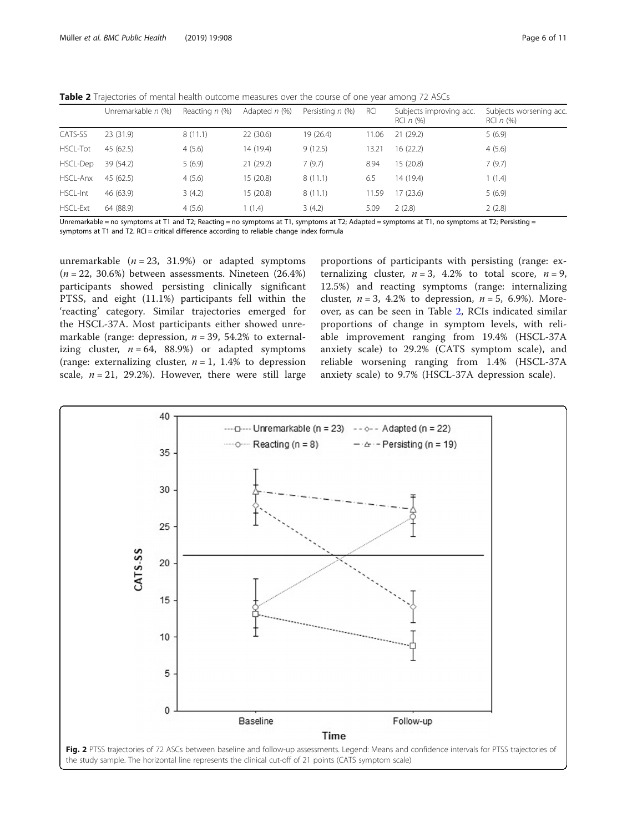<span id="page-5-0"></span>Table 2 Trajectories of mental health outcome measures over the course of one year among 72 ASCs

|                 | Unremarkable n (%) | Reacting $n$ (%) | Adapted $n$ (%) | Persisting n (%) | <b>RCI</b> | Subjects improving acc.<br>RCI $n$ (%) | Subjects worsening acc.<br>$RCI n$ (%) |
|-----------------|--------------------|------------------|-----------------|------------------|------------|----------------------------------------|----------------------------------------|
| CATS-SS         | 23 (31.9)          | 8(11.1)          | 22(30.6)        | 19 (26.4)        | 11.06      | 21(29.2)                               | 5(6.9)                                 |
| <b>HSCL-Tot</b> | 45 (62.5)          | 4(5.6)           | 14 (19.4)       | 9(12.5)          | 13.21      | 16 (22.2)                              | 4(5.6)                                 |
| HSCL-Dep        | 39 (54.2)          | 5(6.9)           | 21(29.2)        | 7(9.7)           | 8.94       | 15(20.8)                               | 7(9.7)                                 |
| HSCL-Anx        | 45 (62.5)          | 4(5.6)           | 15(20.8)        | 8(11.1)          | 6.5        | 14 (19.4)                              | 1(1.4)                                 |
| HSCL-Int        | 46 (63.9)          | 3(4.2)           | 15(20.8)        | 8(11.1)          | 11.59      | 17 (23.6)                              | 5(6.9)                                 |
| <b>HSCL-Ext</b> | 64 (88.9)          | 4(5.6)           | (1.4)           | 3(4.2)           | 5.09       | 2(2.8)                                 | 2(2.8)                                 |

Unremarkable = no symptoms at T1 and T2; Reacting = no symptoms at T1, symptoms at T2; Adapted = symptoms at T1, no symptoms at T2; Persisting = symptoms at T1 and T2. RCI = critical difference according to reliable change index formula

unremarkable  $(n = 23, 31.9%)$  or adapted symptoms  $(n = 22, 30.6%)$  between assessments. Nineteen  $(26.4%)$ participants showed persisting clinically significant PTSS, and eight (11.1%) participants fell within the 'reacting' category. Similar trajectories emerged for the HSCL-37A. Most participants either showed unremarkable (range: depression,  $n = 39$ , 54.2% to externalizing cluster,  $n = 64$ , 88.9%) or adapted symptoms (range: externalizing cluster,  $n = 1$ , 1.4% to depression scale,  $n = 21$ , 29.2%). However, there were still large

proportions of participants with persisting (range: externalizing cluster,  $n = 3$ , 4.2% to total score,  $n = 9$ , 12.5%) and reacting symptoms (range: internalizing cluster,  $n = 3$ , 4.2% to depression,  $n = 5$ , 6.9%). Moreover, as can be seen in Table 2, RCIs indicated similar proportions of change in symptom levels, with reliable improvement ranging from 19.4% (HSCL-37A anxiety scale) to 29.2% (CATS symptom scale), and reliable worsening ranging from 1.4% (HSCL-37A anxiety scale) to 9.7% (HSCL-37A depression scale).

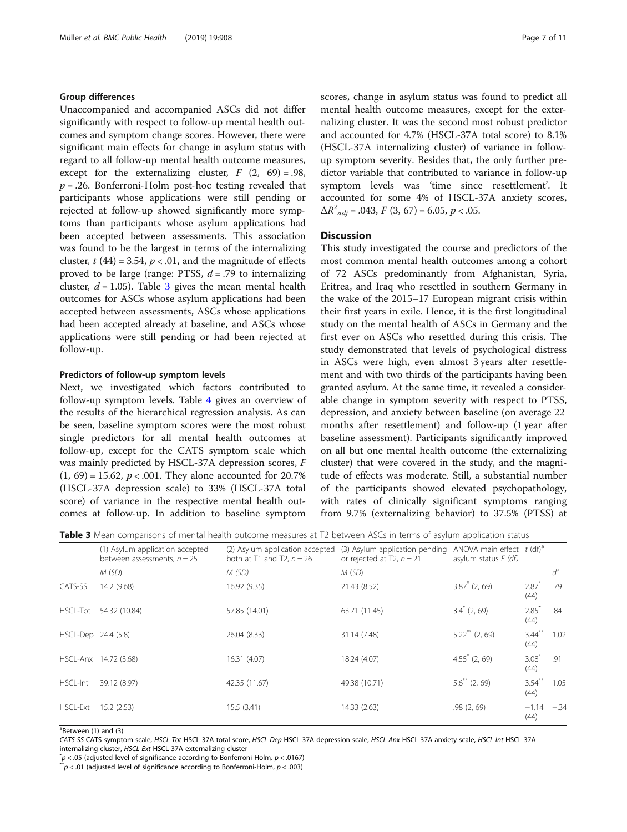#### Group differences

Unaccompanied and accompanied ASCs did not differ significantly with respect to follow-up mental health outcomes and symptom change scores. However, there were significant main effects for change in asylum status with regard to all follow-up mental health outcome measures, except for the externalizing cluster,  $F(2, 69) = .98$ ,  $p = 0.26$ . Bonferroni-Holm post-hoc testing revealed that participants whose applications were still pending or rejected at follow-up showed significantly more symptoms than participants whose asylum applications had been accepted between assessments. This association was found to be the largest in terms of the internalizing cluster,  $t$  (44) = 3.54,  $p < .01$ , and the magnitude of effects proved to be large (range: PTSS,  $d = .79$  to internalizing cluster,  $d = 1.05$ ). Table 3 gives the mean mental health outcomes for ASCs whose asylum applications had been accepted between assessments, ASCs whose applications had been accepted already at baseline, and ASCs whose applications were still pending or had been rejected at follow-up.

#### Predictors of follow-up symptom levels

Next, we investigated which factors contributed to follow-up symptom levels. Table [4](#page-7-0) gives an overview of the results of the hierarchical regression analysis. As can be seen, baseline symptom scores were the most robust single predictors for all mental health outcomes at follow-up, except for the CATS symptom scale which was mainly predicted by HSCL-37A depression scores, F  $(1, 69) = 15.62, p < .001$ . They alone accounted for 20.7% (HSCL-37A depression scale) to 33% (HSCL-37A total score) of variance in the respective mental health outcomes at follow-up. In addition to baseline symptom

scores, change in asylum status was found to predict all mental health outcome measures, except for the externalizing cluster. It was the second most robust predictor and accounted for 4.7% (HSCL-37A total score) to 8.1% (HSCL-37A internalizing cluster) of variance in followup symptom severity. Besides that, the only further predictor variable that contributed to variance in follow-up symptom levels was 'time since resettlement'. It accounted for some 4% of HSCL-37A anxiety scores,  $\Delta R^2_{adj}$  = .043,  $F(3, 67)$  = 6.05,  $p < .05$ .

#### **Discussion**

This study investigated the course and predictors of the most common mental health outcomes among a cohort of 72 ASCs predominantly from Afghanistan, Syria, Eritrea, and Iraq who resettled in southern Germany in the wake of the 2015–17 European migrant crisis within their first years in exile. Hence, it is the first longitudinal study on the mental health of ASCs in Germany and the first ever on ASCs who resettled during this crisis. The study demonstrated that levels of psychological distress in ASCs were high, even almost 3 years after resettlement and with two thirds of the participants having been granted asylum. At the same time, it revealed a considerable change in symptom severity with respect to PTSS, depression, and anxiety between baseline (on average 22 months after resettlement) and follow-up (1 year after baseline assessment). Participants significantly improved on all but one mental health outcome (the externalizing cluster) that were covered in the study, and the magnitude of effects was moderate. Still, a substantial number of the participants showed elevated psychopathology, with rates of clinically significant symptoms ranging from 9.7% (externalizing behavior) to 37.5% (PTSS) at

**Table 3** Mean comparisons of mental health outcome measures at T2 between ASCs in terms of asylum application status

|                     | (1) Asylum application accepted<br>between assessments, $n = 25$ | (2) Asylum application accepted<br>both at T1 and T2, $n = 26$ | (3) Asylum application pending<br>or rejected at T2, $n = 21$ | ANOVA main effect $t$ (df) <sup>a</sup><br>asylum status $F$ (df) |                   |        |  |
|---------------------|------------------------------------------------------------------|----------------------------------------------------------------|---------------------------------------------------------------|-------------------------------------------------------------------|-------------------|--------|--|
|                     | M(SD)                                                            | M(SD)                                                          | M(SD)                                                         |                                                                   |                   | $d^a$  |  |
| CATS-SS             | 14.2 (9.68)                                                      | 16.92 (9.35)                                                   | 21.43 (8.52)                                                  | $3.87$ <sup>*</sup> (2, 69)                                       | $2.87*$<br>(44)   | .79    |  |
| HSCL-Tot            | 54.32 (10.84)                                                    | 57.85 (14.01)                                                  | 63.71 (11.45)                                                 | $3.4^{\ast}$ (2, 69)                                              | 2.85<br>(44)      | .84    |  |
| HSCL-Dep 24.4 (5.8) |                                                                  | 26.04 (8.33)                                                   | 31.14 (7.48)                                                  | $5.22$ <sup>**</sup> (2, 69)                                      | $3.44***$<br>(44) | 1.02   |  |
|                     | HSCL-Anx 14.72 (3.68)                                            | 16.31 (4.07)                                                   | 18.24 (4.07)                                                  | $4.55$ <sup>*</sup> (2, 69)                                       | $3.08*$<br>(44)   | .91    |  |
| HSCL-Int            | 39.12 (8.97)                                                     | 42.35 (11.67)                                                  | 49.38 (10.71)                                                 | $5.6$ <sup>**</sup> (2, 69)                                       | $3.54***$<br>(44) | 1.05   |  |
| <b>HSCL-Ext</b>     | 15.2(2.53)                                                       | 15.5(3.41)                                                     | 14.33 (2.63)                                                  | .98(2, 69)                                                        | $-1.14$<br>(44)   | $-.34$ |  |

<sup>a</sup>Between (1) and (3)

CATS-SS CATS symptom scale, HSCL-Tot HSCL-37A total score, HSCL-Dep HSCL-37A depression scale, HSCL-Anx HSCL-37A anxiety scale, HSCL-Int HSCL-37A internalizing cluster, HSCL-Ext HSCL-37A externalizing cluster  $\bar{p}$  < .05 (adjusted level of significance according to Bonferroni-Holm,  $p$  < .0167)

 $^*p$  < .01 (adjusted level of significance according to Bonferroni-Holm,  $p$  < .003)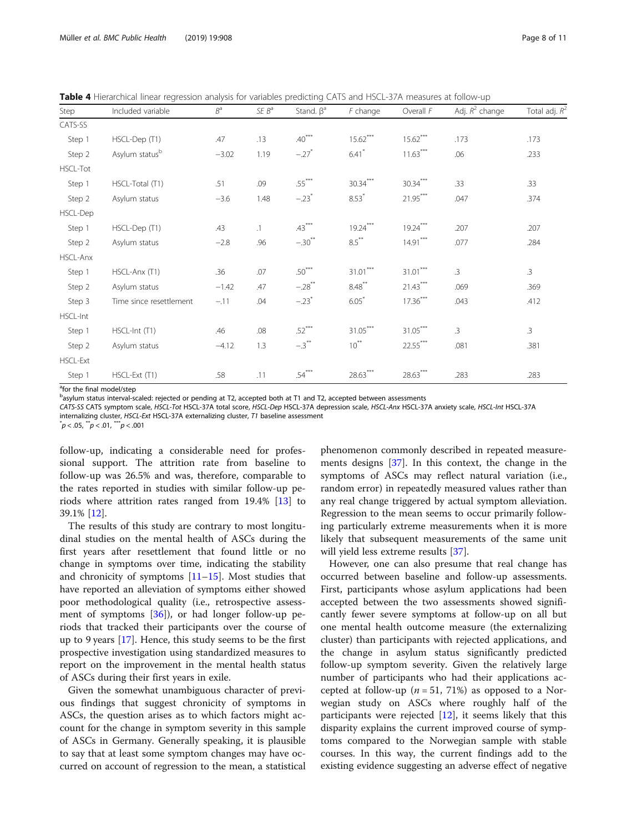<span id="page-7-0"></span>Table 4 Hierarchical linear regression analysis for variables predicting CATS and HSCL-37A measures at follow-up

| Step            | Included variable       | $B^a$   | SE B <sup>a</sup> | Stand. $\beta^a$     | $F$ change | Overall F  | Adj. $R^2$ change | Total adj. $R^2$ |
|-----------------|-------------------------|---------|-------------------|----------------------|------------|------------|-------------------|------------------|
| CATS-SS         |                         |         |                   |                      |            |            |                   |                  |
| Step 1          | HSCL-Dep (T1)           | .47     | .13               | $.40***$             | $15.62***$ | $15.62***$ | .173              | .173             |
| Step 2          | Asylum statusb          | $-3.02$ | 1.19              | $-.27$ *             | $6.41*$    | $11.63***$ | .06               | .233             |
| <b>HSCL-Tot</b> |                         |         |                   |                      |            |            |                   |                  |
| Step 1          | HSCL-Total (T1)         | .51     | .09               | $.55***$             | $30.34***$ | $30.34***$ | .33               | .33              |
| Step 2          | Asylum status           | $-3.6$  | 1.48              | $-.23$ <sup>*</sup>  | $8.53*$    | $21.95***$ | .047              | .374             |
| HSCL-Dep        |                         |         |                   |                      |            |            |                   |                  |
| Step 1          | HSCL-Dep (T1)           | .43     | $\cdot$ 1         | $.43***$             | $19.24***$ | $19.24***$ | .207              | .207             |
| Step 2          | Asylum status           | $-2.8$  | .96               | $-.30***$            | $8.5^{**}$ | $14.91***$ | .077              | .284             |
| HSCL-Anx        |                         |         |                   |                      |            |            |                   |                  |
| Step 1          | HSCL-Anx (T1)           | .36     | .07               | $.50***$             | $31.01***$ | $31.01***$ | $\cdot$ 3         | $\cdot$ 3        |
| Step 2          | Asylum status           | $-1.42$ | .47               | $-.28$ <sup>**</sup> | $8.48***$  | $21.43***$ | .069              | .369             |
| Step 3          | Time since resettlement | $-.11$  | .04               | $-.23$ <sup>*</sup>  | $6.05*$    | $17.36***$ | .043              | .412             |
| HSCL-Int        |                         |         |                   |                      |            |            |                   |                  |
| Step 1          | HSCL-Int (T1)           | .46     | .08               | $.52***$             | $31.05***$ | $31.05***$ | $\cdot$ 3         | $\cdot$ 3        |
| Step 2          | Asylum status           | $-4.12$ | 1.3               | $-3^{**}$            | $10^{**}$  | $22.55***$ | .081              | .381             |
| <b>HSCL-Ext</b> |                         |         |                   |                      |            |            |                   |                  |
| Step 1          | HSCL-Ext (T1)           | .58     | .11               | $.54***$             | $28.63***$ | $28.63***$ | .283              | .283             |

<sup>a</sup>for the final model/step

basylum status interval-scaled: rejected or pending at T2, accepted both at T1 and T2, accepted between assessments

CATS-SS CATS symptom scale, HSCL-Tot HSCL-37A total score, HSCL-Dep HSCL-37A depression scale, HSCL-Anx HSCL-37A anxiety scale, HSCL-Int HSCL-37A

internalizing cluster, HSCL-Ext HSCL-37A externalizing cluster, T1 baseline assessment

 $p < .05$ ,  $p < .01$ ,  $p < .001$ 

follow-up, indicating a considerable need for professional support. The attrition rate from baseline to follow-up was 26.5% and was, therefore, comparable to the rates reported in studies with similar follow-up periods where attrition rates ranged from 19.4% [\[13](#page-10-0)] to 39.1% [[12](#page-10-0)].

The results of this study are contrary to most longitudinal studies on the mental health of ASCs during the first years after resettlement that found little or no change in symptoms over time, indicating the stability and chronicity of symptoms [[11](#page-10-0)–[15](#page-10-0)]. Most studies that have reported an alleviation of symptoms either showed poor methodological quality (i.e., retrospective assessment of symptoms [[36](#page-10-0)]), or had longer follow-up periods that tracked their participants over the course of up to 9 years  $[17]$ . Hence, this study seems to be the first prospective investigation using standardized measures to report on the improvement in the mental health status of ASCs during their first years in exile.

Given the somewhat unambiguous character of previous findings that suggest chronicity of symptoms in ASCs, the question arises as to which factors might account for the change in symptom severity in this sample of ASCs in Germany. Generally speaking, it is plausible to say that at least some symptom changes may have occurred on account of regression to the mean, a statistical

phenomenon commonly described in repeated measurements designs [\[37\]](#page-10-0). In this context, the change in the symptoms of ASCs may reflect natural variation (i.e., random error) in repeatedly measured values rather than any real change triggered by actual symptom alleviation. Regression to the mean seems to occur primarily following particularly extreme measurements when it is more likely that subsequent measurements of the same unit will yield less extreme results [[37](#page-10-0)].

However, one can also presume that real change has occurred between baseline and follow-up assessments. First, participants whose asylum applications had been accepted between the two assessments showed significantly fewer severe symptoms at follow-up on all but one mental health outcome measure (the externalizing cluster) than participants with rejected applications, and the change in asylum status significantly predicted follow-up symptom severity. Given the relatively large number of participants who had their applications accepted at follow-up ( $n = 51, 71\%$ ) as opposed to a Norwegian study on ASCs where roughly half of the participants were rejected  $[12]$  $[12]$ , it seems likely that this disparity explains the current improved course of symptoms compared to the Norwegian sample with stable courses. In this way, the current findings add to the existing evidence suggesting an adverse effect of negative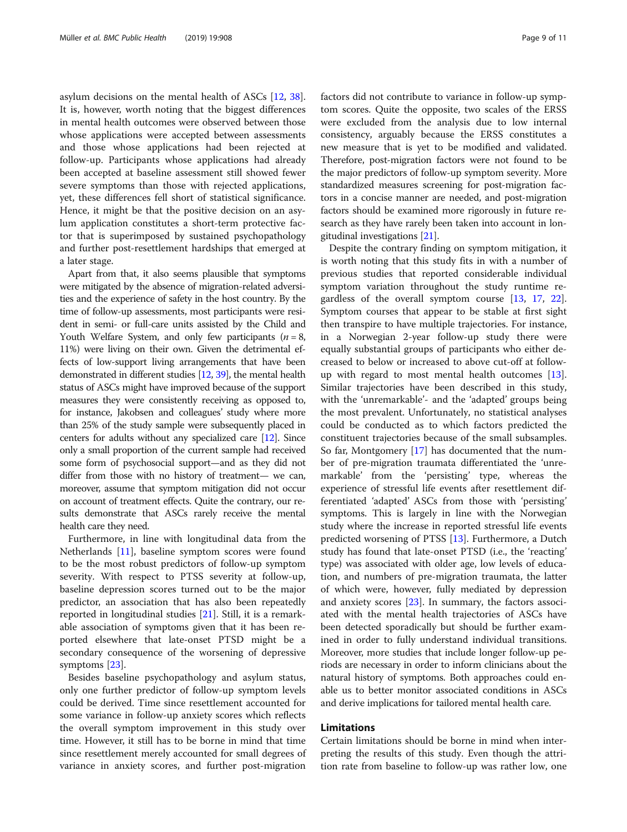asylum decisions on the mental health of ASCs [\[12,](#page-10-0) [38](#page-10-0)]. It is, however, worth noting that the biggest differences in mental health outcomes were observed between those whose applications were accepted between assessments and those whose applications had been rejected at follow-up. Participants whose applications had already been accepted at baseline assessment still showed fewer severe symptoms than those with rejected applications, yet, these differences fell short of statistical significance. Hence, it might be that the positive decision on an asylum application constitutes a short-term protective factor that is superimposed by sustained psychopathology and further post-resettlement hardships that emerged at a later stage.

Apart from that, it also seems plausible that symptoms were mitigated by the absence of migration-related adversities and the experience of safety in the host country. By the time of follow-up assessments, most participants were resident in semi- or full-care units assisted by the Child and Youth Welfare System, and only few participants ( $n = 8$ , 11%) were living on their own. Given the detrimental effects of low-support living arrangements that have been demonstrated in different studies [\[12,](#page-10-0) [39\]](#page-10-0), the mental health status of ASCs might have improved because of the support measures they were consistently receiving as opposed to, for instance, Jakobsen and colleagues' study where more than 25% of the study sample were subsequently placed in centers for adults without any specialized care [\[12\]](#page-10-0). Since only a small proportion of the current sample had received some form of psychosocial support—and as they did not differ from those with no history of treatment— we can, moreover, assume that symptom mitigation did not occur on account of treatment effects. Quite the contrary, our results demonstrate that ASCs rarely receive the mental health care they need.

Furthermore, in line with longitudinal data from the Netherlands [\[11\]](#page-10-0), baseline symptom scores were found to be the most robust predictors of follow-up symptom severity. With respect to PTSS severity at follow-up, baseline depression scores turned out to be the major predictor, an association that has also been repeatedly reported in longitudinal studies [[21](#page-10-0)]. Still, it is a remarkable association of symptoms given that it has been reported elsewhere that late-onset PTSD might be a secondary consequence of the worsening of depressive symptoms [[23](#page-10-0)].

Besides baseline psychopathology and asylum status, only one further predictor of follow-up symptom levels could be derived. Time since resettlement accounted for some variance in follow-up anxiety scores which reflects the overall symptom improvement in this study over time. However, it still has to be borne in mind that time since resettlement merely accounted for small degrees of variance in anxiety scores, and further post-migration factors did not contribute to variance in follow-up symptom scores. Quite the opposite, two scales of the ERSS were excluded from the analysis due to low internal consistency, arguably because the ERSS constitutes a new measure that is yet to be modified and validated. Therefore, post-migration factors were not found to be the major predictors of follow-up symptom severity. More standardized measures screening for post-migration factors in a concise manner are needed, and post-migration factors should be examined more rigorously in future research as they have rarely been taken into account in longitudinal investigations [\[21](#page-10-0)].

Despite the contrary finding on symptom mitigation, it is worth noting that this study fits in with a number of previous studies that reported considerable individual symptom variation throughout the study runtime regardless of the overall symptom course [[13,](#page-10-0) [17,](#page-10-0) [22](#page-10-0)]. Symptom courses that appear to be stable at first sight then transpire to have multiple trajectories. For instance, in a Norwegian 2-year follow-up study there were equally substantial groups of participants who either decreased to below or increased to above cut-off at followup with regard to most mental health outcomes [\[13](#page-10-0)]. Similar trajectories have been described in this study, with the 'unremarkable'- and the 'adapted' groups being the most prevalent. Unfortunately, no statistical analyses could be conducted as to which factors predicted the constituent trajectories because of the small subsamples. So far, Montgomery [\[17](#page-10-0)] has documented that the number of pre-migration traumata differentiated the 'unremarkable' from the 'persisting' type, whereas the experience of stressful life events after resettlement differentiated 'adapted' ASCs from those with 'persisting' symptoms. This is largely in line with the Norwegian study where the increase in reported stressful life events predicted worsening of PTSS [\[13](#page-10-0)]. Furthermore, a Dutch study has found that late-onset PTSD (i.e., the 'reacting' type) was associated with older age, low levels of education, and numbers of pre-migration traumata, the latter of which were, however, fully mediated by depression and anxiety scores [\[23](#page-10-0)]. In summary, the factors associated with the mental health trajectories of ASCs have been detected sporadically but should be further examined in order to fully understand individual transitions. Moreover, more studies that include longer follow-up periods are necessary in order to inform clinicians about the natural history of symptoms. Both approaches could enable us to better monitor associated conditions in ASCs and derive implications for tailored mental health care.

#### Limitations

Certain limitations should be borne in mind when interpreting the results of this study. Even though the attrition rate from baseline to follow-up was rather low, one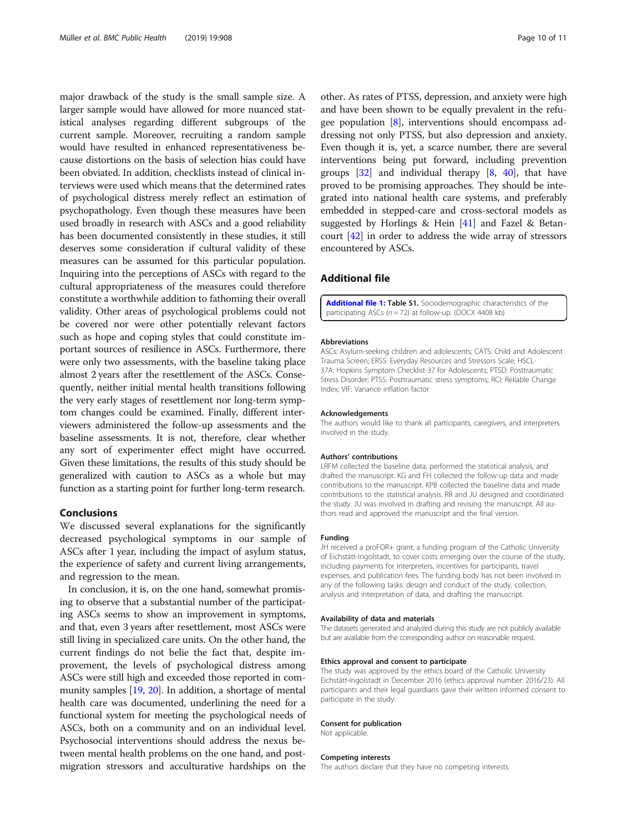<span id="page-9-0"></span>major drawback of the study is the small sample size. A larger sample would have allowed for more nuanced statistical analyses regarding different subgroups of the current sample. Moreover, recruiting a random sample would have resulted in enhanced representativeness because distortions on the basis of selection bias could have been obviated. In addition, checklists instead of clinical interviews were used which means that the determined rates of psychological distress merely reflect an estimation of psychopathology. Even though these measures have been used broadly in research with ASCs and a good reliability has been documented consistently in these studies, it still deserves some consideration if cultural validity of these measures can be assumed for this particular population. Inquiring into the perceptions of ASCs with regard to the cultural appropriateness of the measures could therefore constitute a worthwhile addition to fathoming their overall validity. Other areas of psychological problems could not be covered nor were other potentially relevant factors such as hope and coping styles that could constitute important sources of resilience in ASCs. Furthermore, there were only two assessments, with the baseline taking place almost 2 years after the resettlement of the ASCs. Consequently, neither initial mental health transitions following the very early stages of resettlement nor long-term symptom changes could be examined. Finally, different interviewers administered the follow-up assessments and the baseline assessments. It is not, therefore, clear whether any sort of experimenter effect might have occurred. Given these limitations, the results of this study should be generalized with caution to ASCs as a whole but may function as a starting point for further long-term research.

#### Conclusions

We discussed several explanations for the significantly decreased psychological symptoms in our sample of ASCs after 1 year, including the impact of asylum status, the experience of safety and current living arrangements, and regression to the mean.

In conclusion, it is, on the one hand, somewhat promising to observe that a substantial number of the participating ASCs seems to show an improvement in symptoms, and that, even 3 years after resettlement, most ASCs were still living in specialized care units. On the other hand, the current findings do not belie the fact that, despite improvement, the levels of psychological distress among ASCs were still high and exceeded those reported in community samples [[19,](#page-10-0) [20](#page-10-0)]. In addition, a shortage of mental health care was documented, underlining the need for a functional system for meeting the psychological needs of ASCs, both on a community and on an individual level. Psychosocial interventions should address the nexus between mental health problems on the one hand, and postmigration stressors and acculturative hardships on the

other. As rates of PTSS, depression, and anxiety were high and have been shown to be equally prevalent in the refugee population [\[8](#page-10-0)], interventions should encompass addressing not only PTSS, but also depression and anxiety. Even though it is, yet, a scarce number, there are several interventions being put forward, including prevention groups  $[32]$  and individual therapy  $[8, 40]$  $[8, 40]$  $[8, 40]$ , that have proved to be promising approaches. They should be integrated into national health care systems, and preferably embedded in stepped-care and cross-sectoral models as suggested by Horlings & Hein [[41](#page-10-0)] and Fazel & Betancourt [[42](#page-10-0)] in order to address the wide array of stressors encountered by ASCs.

#### Additional file

[Additional file 1:](https://doi.org/10.1186/s12889-019-7263-6) Table S1. Sociodemographic characteristics of the participating ASCs ( $n = 72$ ) at follow-up. (DOCX 4408 kb)

#### **Abbreviations**

ASCs: Asylum-seeking children and adolescents; CATS: Child and Adolescent Trauma Screen; ERSS: Everyday Resources and Stressors Scale; HSCL-37A: Hopkins Symptom Checklist-37 for Adolescents; PTSD: Posttraumatic Stress Disorder; PTSS: Posttraumatic stress symptoms; RCI: Reliable Change Index; VIF: Variance inflation factor

#### Acknowledgements

The authors would like to thank all participants, caregivers, and interpreters involved in the study.

#### Authors' contributions

LRFM collected the baseline data, performed the statistical analysis, and drafted the manuscript. KG and FH collected the follow-up data and made contributions to the manuscript. KPB collected the baseline data and made contributions to the statistical analysis. RR and JU designed and coordinated the study. JU was involved in drafting and revising the manuscript. All authors read and approved the manuscript and the final version.

#### Funding

JH received a proFOR+ grant, a funding program of the Catholic University of Eichstätt-Ingolstadt, to cover costs emerging over the course of the study, including payments for interpreters, incentives for participants, travel expenses, and publication fees. The funding body has not been involved in any of the following tasks: design and conduct of the study, collection, analysis and interpretation of data, and drafting the manuscript.

#### Availability of data and materials

The datasets generated and analyzed during this study are not publicly available but are available from the corresponding author on reasonable request.

#### Ethics approval and consent to participate

The study was approved by the ethics board of the Catholic University Eichstätt-Ingolstadt in December 2016 (ethics approval number: 2016/23). All participants and their legal guardians gave their written informed consent to participate in the study.

#### Consent for publication

Not applicable.

#### Competing interests

The authors declare that they have no competing interests.